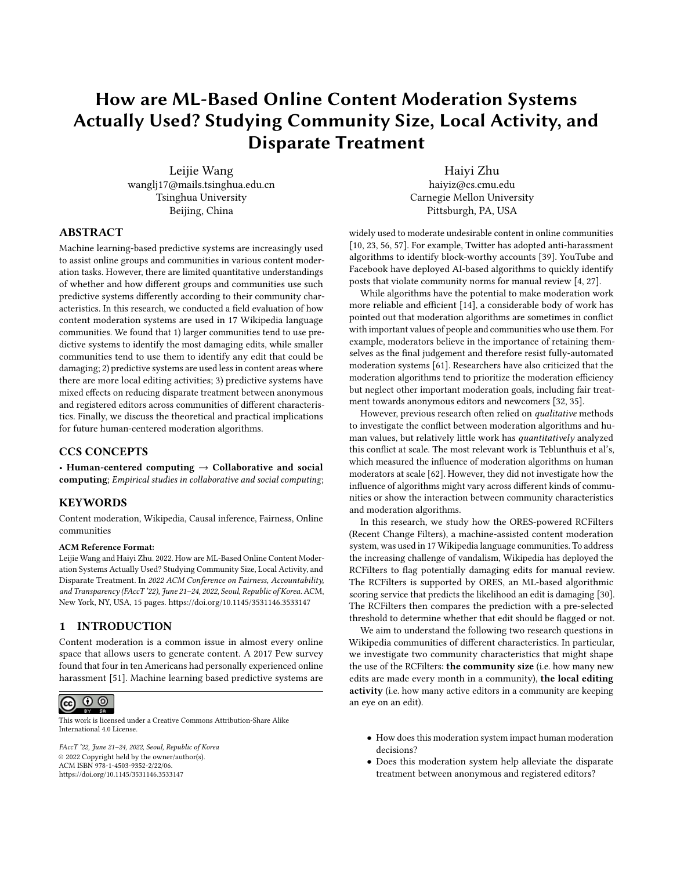# How are ML-Based Online Content Moderation Systems Actually Used? Studying Community Size, Local Activity, and Disparate Treatment

Leijie Wang wanglj17@mails.tsinghua.edu.cn Tsinghua University Beijing, China

[Haiyi Zhu](https://orcid.org/0000-0001-5111-8795) haiyiz@cs.cmu.edu Carnegie Mellon University Pittsburgh, PA, USA

## ABSTRACT

Machine learning-based predictive systems are increasingly used to assist online groups and communities in various content moderation tasks. However, there are limited quantitative understandings of whether and how different groups and communities use such predictive systems differently according to their community characteristics. In this research, we conducted a field evaluation of how content moderation systems are used in 17 Wikipedia language communities. We found that 1) larger communities tend to use predictive systems to identify the most damaging edits, while smaller communities tend to use them to identify any edit that could be damaging; 2) predictive systems are used less in content areas where there are more local editing activities; 3) predictive systems have mixed effects on reducing disparate treatment between anonymous and registered editors across communities of different characteristics. Finally, we discuss the theoretical and practical implications for future human-centered moderation algorithms.

## CCS CONCEPTS

• Human-centered computing  $\rightarrow$  Collaborative and social computing; Empirical studies in collaborative and social computing;

#### **KEYWORDS**

Content moderation, Wikipedia, Causal inference, Fairness, Online communities

#### ACM Reference Format:

Leijie Wang and Haiyi Zhu. 2022. How are ML-Based Online Content Moderation Systems Actually Used? Studying Community Size, Local Activity, and Disparate Treatment. In 2022 ACM Conference on Fairness, Accountability, and Transparency (FAccT '22), June 21–24, 2022, Seoul, Republic of Korea. ACM, New York, NY, USA, [15](#page-14-0) pages.<https://doi.org/10.1145/3531146.3533147>

#### 1 INTRODUCTION

Content moderation is a common issue in almost every online space that allows users to generate content. A 2017 Pew survey found that four in ten Americans had personally experienced online harassment [\[51\]](#page-12-0). Machine learning based predictive systems are

#### $\odot$   $\odot$  $(cc)$

This work is licensed under a [Creative Commons Attribution-Share Alike](https://creativecommons.org/licenses/by-sa/4.0/) [International 4.0 License.](https://creativecommons.org/licenses/by-sa/4.0/)

FAccT '22, June 21–24, 2022, Seoul, Republic of Korea © 2022 Copyright held by the owner/author(s). ACM ISBN 978-1-4503-9352-2/22/06. <https://doi.org/10.1145/3531146.3533147>

widely used to moderate undesirable content in online communities [\[10,](#page-11-0) [23,](#page-11-1) [56,](#page-12-1) [57\]](#page-12-2). For example, Twitter has adopted anti-harassment algorithms to identify block-worthy accounts [\[39\]](#page-11-2). YouTube and Facebook have deployed AI-based algorithms to quickly identify posts that violate community norms for manual review [\[4,](#page-11-3) [27\]](#page-11-4).

While algorithms have the potential to make moderation work more reliable and efficient [\[14\]](#page-11-5), a considerable body of work has pointed out that moderation algorithms are sometimes in conflict with important values of people and communities who use them. For example, moderators believe in the importance of retaining themselves as the final judgement and therefore resist fully-automated moderation systems [\[61\]](#page-12-3). Researchers have also criticized that the moderation algorithms tend to prioritize the moderation efficiency but neglect other important moderation goals, including fair treatment towards anonymous editors and newcomers [\[32,](#page-11-6) [35\]](#page-11-7).

However, previous research often relied on qualitative methods to investigate the conflict between moderation algorithms and human values, but relatively little work has quantitatively analyzed this conflict at scale. The most relevant work is Teblunthuis et al's, which measured the influence of moderation algorithms on human moderators at scale [\[62\]](#page-12-4). However, they did not investigate how the influence of algorithms might vary across different kinds of communities or show the interaction between community characteristics and moderation algorithms.

In this research, we study how the ORES-powered RCFilters (Recent Change Filters), a machine-assisted content moderation system, was used in 17 Wikipedia language communities. To address the increasing challenge of vandalism, Wikipedia has deployed the RCFilters to flag potentially damaging edits for manual review. The RCFilters is supported by ORES, an ML-based algorithmic scoring service that predicts the likelihood an edit is damaging [\[30\]](#page-11-8). The RCFilters then compares the prediction with a pre-selected threshold to determine whether that edit should be flagged or not.

We aim to understand the following two research questions in Wikipedia communities of different characteristics. In particular, we investigate two community characteristics that might shape the use of the RCFilters: the community size (i.e. how many new edits are made every month in a community), the local editing activity (i.e. how many active editors in a community are keeping an eye on an edit).

- How does this moderation system impact human moderation decisions?
- Does this moderation system help alleviate the disparate treatment between anonymous and registered editors?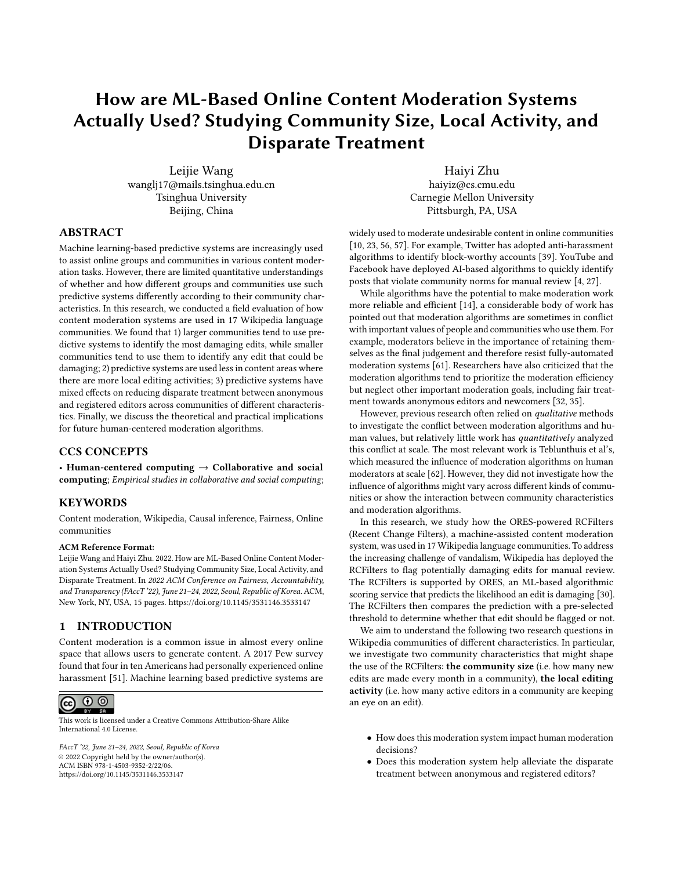To answer these questions, we use the Regression Discontinuity Design (RDD) to quantitatively evaluate the causal effect of this machine-assisted moderation system. The intuition behind the RDD is that data points immediately below and above an arbitrary cutoff are equal in expectation; comparing the outcome of the data points immediately above to the counterfactual outcome of those immediately below will hence deliver the local treatment effect. In the context of the RCFilters, the arbitrary cutoff is the damaging threshold. By comparing the reverting rates of edits immediately above versus immediately below the damaging threshold, we are able to measure the impact of the RCFilters on human moderation decisions and understand how the system interacts with other community characteristics at play.

We analyzed 4,000,000 edits from 17 Wikipedia language communities between 2019 and 2020 and found that 1) larger communities tend to use the RCFilters to identify the most damaging edits, while smaller communities tend to use the RCFilters to identify any edit that could be damaging; 2) The RCFilters is used less in content areas where there are more local editing activities; 3) The RCFilters has mixed effects on reducing disparate treatment between anonymous and registered editors in communities of different characteristics.

In this paper, we first review literature about content moderation in online communities and fairness of moderation algorithms. We then explain how the community size and the local editing activity influence the use of moderation algorithms in Wikipedia and propose hypotheses accordingly. In the main part, we quantify the effect of the moderation system on moderation decisions and the disparate treatment between editor groups in different types of communities. Finally, we discuss the limitations of our research, and present theoretical and design implications for future research.

## 2 RELATED WORK

## 2.1 Content Moderation in Online Communities

Despite the indispensable role online communities (e.g. Facebook, Wikipedia, and YouTube) play in our daily life, we still see with disappointment an overwhelming number of examples of spam, misinformation, and off-topic postings in our online experience. A nationally representative Pew Research Center study in 2017 found that roughly four in ten Americans had personally experienced online harassment [\[51\]](#page-12-0). While platforms like NPR [\[18\]](#page-11-9) and IMDB [\[2\]](#page-11-10) are forced to close their comment sections due to their incapability to fight against vandalism, other platforms have adopted a variety of approaches to regulate online behavior to maintain positive and productive conversations [\[45\]](#page-11-11).

These moderation approaches can be further divided into three categories: manual moderation, fully automated moderation algorithms, and machine-assisted moderation systems. Human moderators are employed by online platforms to regulate content [\[1,](#page-10-0) [58\]](#page-12-5) but face great challenges as the amount of content to be reviewed grows. Therefore, online communities like Facebook [\[4\]](#page-11-3), YouTube [\[27\]](#page-11-4), and Reddit [\[8\]](#page-11-12) increasingly adopt algorithms to automatically identify and remove damaging content at scale. Despite the efficiency of automated algorithms to moderate content [\[13,](#page-11-13) [14,](#page-11-5) [23\]](#page-11-1), people are concerned about their incompetency to make context-sensitive moderation decisions and potential violations against community

norms [\[29,](#page-11-14) [61,](#page-12-3) [63\]](#page-12-6). Therefore, machine-assisted moderation systems are increasingly used.

In reality, large online platforms have established a multi-layer immune system against vandalism. In Wikipedia, both fully autonomous robots and machine-assisted systems are important components of moderation teams [\[24,](#page-11-15) [26,](#page-11-16) [31,](#page-11-17) [35\]](#page-11-7). Fully autonomous robots are responsible for reverting the most blatant offenders, while machine-assisted systems enable people to review more subtle damages and norm violations by filtering or flagging edits. In this paper, we study the tool, RCFilters, which flags possibly damaging content as a built-in browser widget accessible to all Wikipedia moderators.

## 2.2 Fairness of Content Moderation Algorithms

As algorithmic systems are widely used in both the public and private sectors for making decisions with real consequences on people's lives, there has been an increasing focus in the research community on investigating and improving the fairness of algorithmic decision-making systems [\[11,](#page-11-18) [67\]](#page-12-7). Fairness-aware machine learning research has abstracted fairness notions from the realworld context (e.g. equalized odds [\[36\]](#page-11-19), demographic parity, individual fairness [\[16,](#page-11-20) [41\]](#page-11-21)) and developed fair algorithms accordingly [\[12,](#page-11-22) [48\]](#page-11-23). For example, demographic parity entails a fair algorithm has parity of positive classification rates across a fixed number of protected groups, while individual fairness in [\[16\]](#page-11-20) requires treating similar individuals similarly. On the other hand, HCI researchers have also involved human efforts in designing fair algorithms and identifying potential bias in algorithms. For example, users are empowered with interactive interfaces to visually examine the behavior of machine learning models and identify potential biases [\[3,](#page-11-24) [68\]](#page-12-8).

Content moderation algorithms decide which post to remove and have a direct impact on our online experience. Over the past few years, there has been a heated debate over whether content moderation algorithms increase fairness or not [\[6,](#page-11-25) [17,](#page-11-26) [28,](#page-11-27) [42\]](#page-11-28). Prior research argued that algorithms might inherit the biases of either system developers or training datasets and then amplify them on platforms across a potentially massive scale. Binns et al. trained moderation algorithms on datasets labeled by different demographic subsets and observed that algorithm performances in the field were greatly influenced by who labeled the dataset [\[5\]](#page-11-29). Matamoros-Fernández argued that Twitter and YouTube embody a form of racism in their vague policies and design of moderation algorithms [\[52\]](#page-12-9). On the other hand, community members also consider algorithms more objective and fairer than human moderators because algorithms have some predefined, fixed criteria [\[39\]](#page-11-2). Therefore, it remains to be explored whether moderation algorithms increase fairness or not. In this research, we investigate the effect of a machine-assisted moderation system in Wikipedia on the disparate treatment between anonymous and registered editors in different types of communities.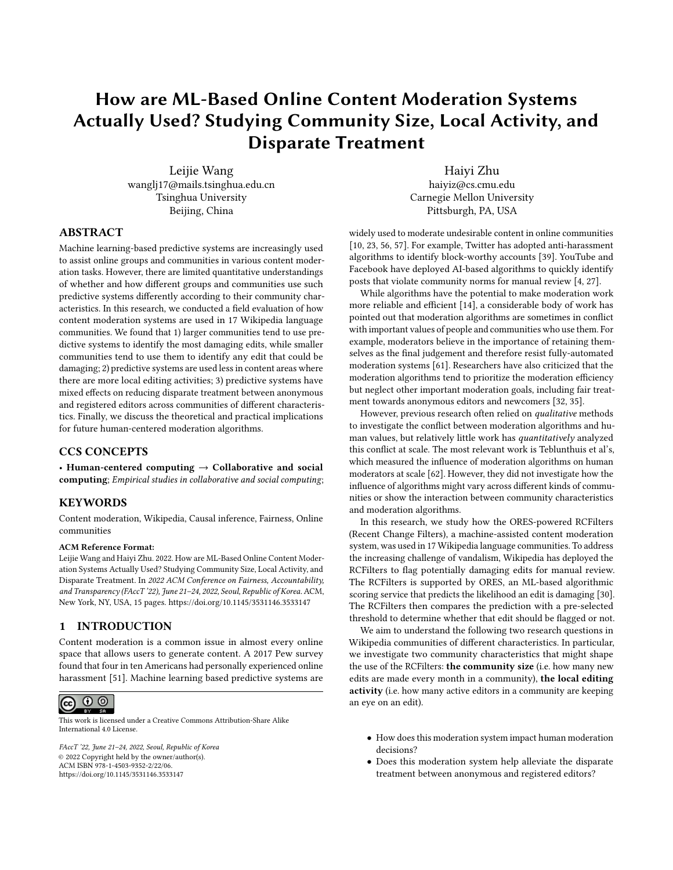## 2.3 Impacts of Moderation Algorithms on Content Removal

There is a growing body of work in the research community emphasizing the importance of understanding how human moderators interact with moderation algorithms in the real world. Kitchin argued that the effect of algorithms unfolds in contingent and relational ways, producing localized and situated outcomes, so empirical observations about how people engage with algorithms in practical contexts are crucial to understanding algorithms [\[46\]](#page-11-30). Similarly, Selbst et al. stated that it is not enough to understand algorithms in terms of their performances on the test dataset but we should also account for how real-world stakeholders respond to algorithm recommendations [\[53,](#page-12-10) [60\]](#page-12-11).

A considerable amount of literature provides qualitative analysis of the interaction between moderation algorithms and human moderators [\[21,](#page-11-31) [22,](#page-11-32) [30,](#page-11-8) [69\]](#page-12-12). For example, Jhaver et al. revealed the challenges and benefits of human moderators' using automated tools in the sociotechnical context of Reddit [\[38\]](#page-11-33). Geiger et al. analyzed how moderation systems transform the complicated moderation work into mundane affairs performed by human moderators [\[25\]](#page-11-34).

In contrast, there is relatively little work that quantitatively measures the impact of moderation algorithms on manual moderation decisions in the real world. Geiger et al. took advantage of breakdowns of an automated algorithm in Wikipedia and revealed that the algorithm accelerates the removal of undesirable content [\[23\]](#page-11-1). Compared to automated algorithms, it is even more difficult to measure the effect of machine-assisted moderation systems because of the mixture of individual discretion and algorithm recommendations inherent in this kind of systems

Recently, Teblunthuis et al. have managed to demonstrate quantitatively that the RCFilters, a machine-assisted algorithmic system deployed in Wikipedia, reduces the bias against newcomer and anonymous editors in moderation work [\[62\]](#page-12-4). However, it only captures parts of the complexity of decision-making scenarios on online platforms [\[15,](#page-11-35) [33\]](#page-11-36). For example, online communities have moderation goals that vary according to their community size and therefore might exploit this system differently. We further attempt to understand this algorithmic system in Wikipedia's sociotechnical context. We borrow methods from the causal analysis to quantitatively estimate its influence and further understand the role this algorithm plays in moderation work. Our work differs from that of Teblunthuis et al. in that we aim to explore how the influence of the system on moderation work and disparate treatment between editor groups might vary in different types of Wikipedia communities, while they treated the Wikipedia community as a whole and inquired whether the algorithmic treatment towards editor groups complies with community norms in general.

## 3 STUDY CONTEXT: WIKIPEDIA MODERATION

Guided by the principle that anyone can edit, Wikipedia, the online encyclopedia community, is written and maintained by volunteers through a decentralized community structure. It has 325 language communities and each community sets guidelines and rules regarding writing styles, moderation, and user behaviors independently. Meanwhile, within each language community, coalitions of editors

with common interests or expertise in a particular domain have established their local community norms [\[47\]](#page-11-37).

While such a decentralized community structure plays a significant role in fighting against vandalism, Wikipedians have also developed algorithmic systems to facilitate moderation work [\[35\]](#page-11-7). One widely used algorithmic system is the RCFilters. The RCFilters, short for Recent Changes Filters, has been deployed in 23 Wikipedia language communities as default on the RecentChanges page since August 20[1](#page-2-0)8<sup>1</sup>. The RecentChanges page is a special page that lists information about the most recent edits on Wikipedia, including editor usernames, article titles, and comments<sup>[2](#page-2-1)</sup>. As shown in Figure [1,](#page-3-0) the RCFilters at this page enables content moderators to flag edits that may have problems, likely have problems, or very likely have problems. These three filters have different trade-offs between precision (the proportion of flagged edits that are actually damaging) and recall (the proportion of actually damaging edits that are flagged) to accommodate workflows of as many moderators as possible.

The RCFilters is powered by the ORES, an algorithmic scoring service that offers real-time damaging predictions for edits. The ORES prediction model is based on gradient boosted decision trees and trained with human-labelled Wikipedia edits [\[30\]](#page-11-8). Three thresholds are chosen for three filters and edits are flagged accordingly after comparing their ORES predictions with the thresholds. In this article, we measure the effect of the RCFilters on moderation decisions and the disparate treatment between editor groups at scale in communities of varying sizes and local editing activity.

#### RESEARCH HYPOTHESES

## 4.1 Effects of the RCFilters on Content Removal

Before presenting results associated with community characteristics, we first establish that the RCFilters has an effect on Wikipedia's moderation work. This test is fundamental to our following analysis because its results indicate whether the moderation tool RCFilters is used in Wikipedia. Given flagged edits are more likely to be spotted and then closely examined by moderators, we hypothesize that flagged edits have a higher reverting probability compared to non-flagged ones.

Analysis Check: Edits that receive damaging scores immediately above flagging thresholds are more likely to be reverted compared to edits that receive damaging scores immediately below flagging thresholds.

#### 4.2 Influence of Community Sizes

Online communities like Reddit, Wikipedia, Discord, and Twitch have witnessed the proliferation of sub-communities built based on similar interests or languages. Although sub-communities share similar underlying technological infrastructures, they develop algorithms and moderate content independently [\[8,](#page-11-12) [9,](#page-11-38) [59\]](#page-12-13). Large communities are shown to rely more on technical approaches to moderation, including automated algorithms and machine-assisted systems. A field evaluation of Twitch moderation observed that

<span id="page-2-0"></span> $\overline{\text{1}$  RCF<br>ilters is part of the project Edit Review Improvements. See [https://www.mediawiki.](https://www.mediawiki.org/wiki/Edit_Review_Improvements/New_filters_for_edit_review) [org/wiki/Edit\\_Review\\_Improvements/New\\_filters\\_for\\_edit\\_review](https://www.mediawiki.org/wiki/Edit_Review_Improvements/New_filters_for_edit_review)

<span id="page-2-1"></span><sup>&</sup>lt;sup>2</sup>This following link is directed at the RecentChanges page in English Wikipedia: <https://en.wikipedia.org/wiki/Special:RecentChanges>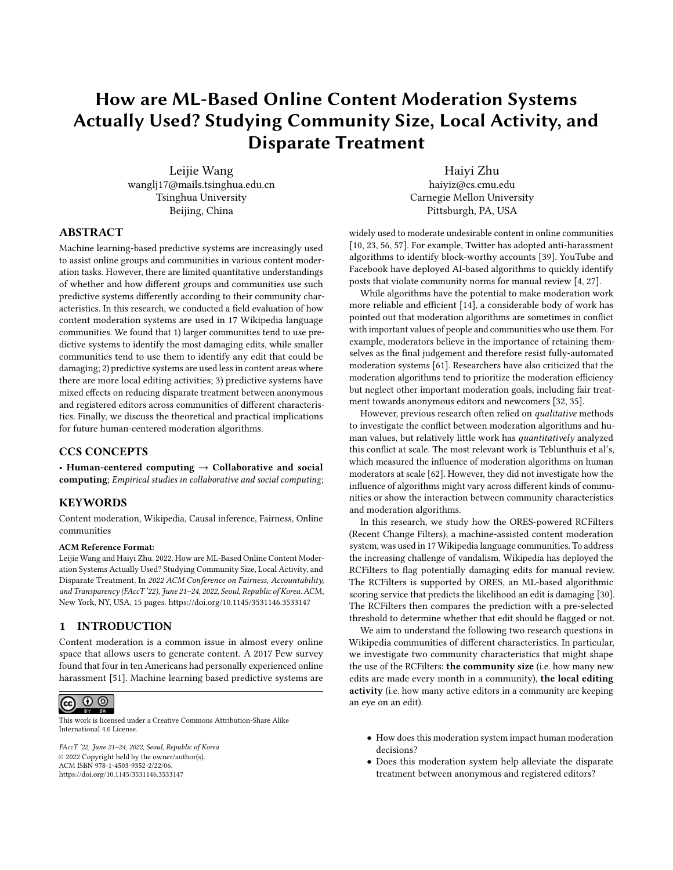<span id="page-3-0"></span>

| <b>Active filters</b>                                                                                                                                               | Hide |
|---------------------------------------------------------------------------------------------------------------------------------------------------------------------|------|
| <b>May have problems <math>\mathsf{X}</math></b> ) ( $\bullet$ Likely have problems $\mathsf{X}$ ) ( $\bullet$ Very likely have problems $\mathsf{X}$ )             |      |
| (a) Configuration of highlight colors for each filter                                                                                                               |      |
| (diff I hist). Daniil Medvedev; 06:44 (+128) 2601:204:102:6130:f5ef:9a5e:a381:b9f7 (talk) (Tags: Mobile edit, Mobile web edit, Reverted)<br>$\bullet\bullet\bullet$ |      |
| (diff I hist). Black Widow (2021 film); 06:44 (-8). Blowscalls (talk I contribs) (Tags: Mobile edit, Mobile web edit, Visual edit, Advanced mobile edit)            |      |

- o (diff I hist). Tunceli Province; 06:43.. (+27).. 176.88.28.90 (talk) (improved and added symbol)
- (diff I hist) . . m Park Si-eun (entertainer); 06:43 . . (-1,298) . . 유용근님 (talk I contribs) (Tags: Mobile edit, Mobile web edit, Visual edit, possible BLP issue or vandalism, references removed, Reverted)

(b) List of filtered and flagged edits

Figure 1: Screenshot of the RCFilters on the RecentChanges page in English Wikipedia. Different highlight colors inform moderators of the algorithmic damaging predictions. Note if an editor is anonymous, its corresponding username will be an IP address, as shown by the first line of the list.

there are four times more moderation actions taken by bots than humans in large channels in contrast to a roughly even number by bots and humans in medium and small channels [\[59\]](#page-12-13).

There are several possible explanations for the heavy reliance of larger communities on moderation algorithms. First, sociologists suggest that individuals in large communities are less likely to form personal relationships and to coordinate with others efficiently [\[19\]](#page-11-39). Besides, large online communities are struggling to moderate huge volumes of everyday content [\[44\]](#page-11-40). Consequently, instead of focusing on removing all damaging content in a context-sensitive way, moderators in larger communities are more concerned about removing the most damaging content efficiently, in which moderation algorithms are highly competent.

Embedded in the Wikipedia front page, the tool RCFilters can efficiently identify and flag undesirable edits, and adapts well to the workflow of moderators in large Wikipedia communities. Therefore, we hypothesize that this flagging system will have a greater impact on the moderation work in larger Wikipedia communities.

Hypothesis 1: The effect of the moderation tool (i.e., the difference in the reverting rate for edits above versus below flagging thresholds) will be greater in large communities than in small ones.

#### 4.3 Influence of Local Editing Activity

In addition to employing or appointing a small set of community members as moderators, online communities also increasingly adopt a decentralized moderation approach and rely on local community members to regulate content. In some cases, community members become part of a local community simply because they view the same post or video. For example, Slashdot users are enabled to down-vote unwelcome content in the comment section of an article, and viewers on the Twitter and YouTube platform can also report vandalism content. In Wikipedia, members vigilantly monitor recent edits to articles which they have contributed to before and remove damaging edits when needed [\[64\]](#page-12-14). On the other hand, local communities such as Facebook Groups and Wikipedia Projects have a clearer organization structure and establish local community norms. Specifically, Wikipedia Projects consist of editors with common interests or expertise in a particular domain and provide opportunities for editors to peer review each other's edits as well as protect their interesting articles from intruding zealotry and vandalism [\[20\]](#page-11-41).

Prior research has underscored the indispensable role local communities play in regulating content. Lampe and Resnick argued that the distributed moderation system in Slashdot can quickly and consistently separate high and low quality comments [\[49\]](#page-11-42). Geiger underscored the collective and bottom-up modes of computationally assisted moderation through a field study of the bot-based blocklists in Twitter [\[22\]](#page-11-32). Kittur et al. showed joining a WikiProject encourages people to spend more efforts in reverting vandalism for articles within their affiliated WikiProject domain [\[47\]](#page-11-37).

The proliferated local communities in Wikipedia mean that edits are always placed under close examination by local editors who are either moderators of a local WikiProject or individual moderators keeping an eye on articles out of their interest. Therefore, we hypothesize that the flagging system will have less influence on articles that have more local editing activity.

Hypothesis 2: The effect of the moderation tool (i.e., the difference in reverting rates for edits above versus below thresholds) will be smaller in articles with more local editing activity compared to articles with less local editing activity.

## 4.4 Impact of Moderation Algorithms on the Disparate Treatment towards Anonymous **Editors**

Online communities are always concerned about whether they should require would-be contributors to create accounts. Researchers have argued that there is no clear connection between anonymity and vandalism [\[65\]](#page-12-15). Although requiring an account will deter a large proportion of low-quality participation, the vast majority of rejected contributions are high-quality [\[37\]](#page-11-43). On the other hand, the creation of an account helps establish an identity in the community and enables editors to cooperate with other people more efficiently [\[7,](#page-11-44) [66\]](#page-12-16). Editing without a stable identifier is therefore considered as a bad form and more so if we notice that anonymity online will lead to misbehaviour like spam and hate speech [\[40\]](#page-11-45). In reality, anonymous edits are more closely scrutinized by moderators in Wikipedia [\[65\]](#page-12-15).

Recently, Teblunthuis et al. investigated how the effect of moderation algorithms depends on the anonymous status of editors and found that, in the broadest strokes, algorithms can reduce discrimination against anonymous editors. However, they also acknowledged that, when it comes to details, algorithms have a much more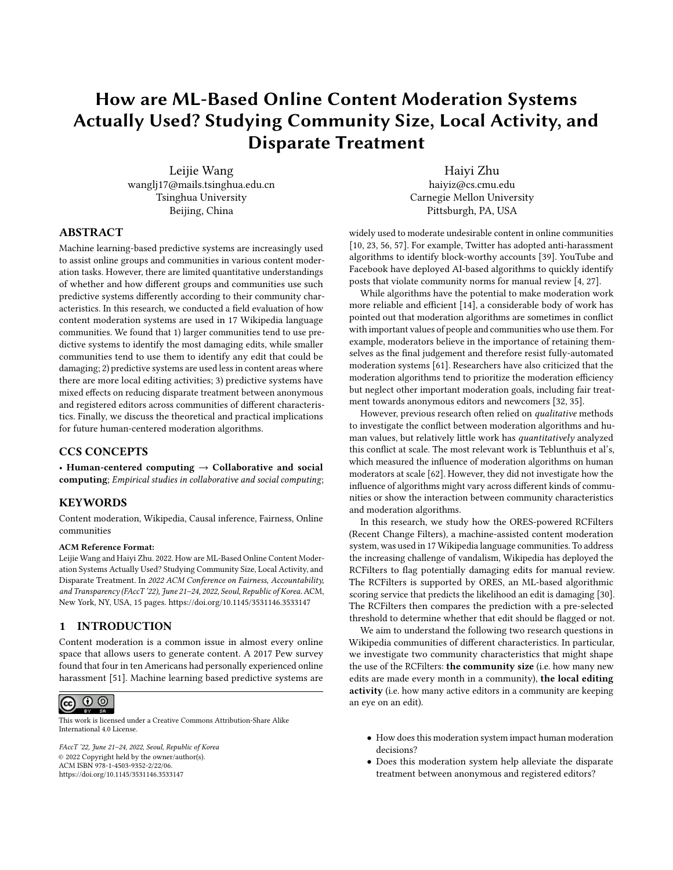contingent and mixed influence [\[62\]](#page-12-4). In our analysis, we further explore how the effect of the algorithm upon the disparity between anonymous and registered editors depends on the community size and the local editing activity.

Without algorithmic flags, anonymous edits are more closely scrutinized [\[65\]](#page-12-15) and edits by registered editors are more likely to go unnoticed. In contrast, the algorithm behind the RCFilters uses a set of language features to score the damaging likelihood of each edit, allowing the RCFilters to surface problematic edits by all kinds of editors. Therefore, we hypothesize that, while anonymous edits - regardless of being flagged or not - will continue to be closely scrutinized, edits by registered editors will only be more carefully reviewed by moderators after being flagged. This means that the effect of the moderation tool on anonymous editors will be smaller than that on registered editors. In other words, the content moderation tool can promote fairness between anonymous and registered editors.

Hypothesis 3: The moderation tool can reduce the disparate treatment between anonymous and registered editors (i.e. the difference in the effect of the moderation tool for edits made by anonymous editors and that by registered editors).

In communities of varying sizes and local editing activity, the relationship between algorithmic flags and the disparity between editor groups is more complicated. If we believe that the RCFilters can promote fairness between editor groups in general, whether the RCFilters is frequently used in a community will greatly affect whether the tool increases fairness between editor groups in that community. Since we hypothesize that the RCFilters will be relied more in communities of larger sizes and with less local editing activity in our Hypothesis 1 and 2, we hypothesize that the RCFilters will also help alleviate the disparate treatment between editor groups in these two kinds of communities.

Hypothesis 4a: The effect of the moderation tool on the disparate treatment between anonymous and registered editors will be smaller in larger communities.

Hypothesis 4b: The effect of the moderation tool on the disparate treatment between anonymous and registered editors will be smaller in communities of less local editing activity.

### 5 DATA AND MEASUREMENT

#### 5.1 Data Preparation

We obtained our data from the publicly archived data of all Wikipedia communities<sup>[3](#page-4-0)</sup>. In particular, we analyzed data from 23 Wikipedia language editions where the RCFilters was enabled by default in the RecentChanges page between 2019 and 2020. We focus on the revision in our analysis, which is defined as a single edit to an article by a participant, who can be either a human editor or an automated robot. We then apply the following exclusion criteria and present the descriptive statistics of our dataset in the Table [1.](#page-5-0)

• First, since we plan to compare the use of all three filters of the RCFilters, we exclude Wikipedia language editions where there are less than three filters, such as France and Romanian Wikipedia. We are then left with 17 Wikipedia language editions.

- Because we aim to explore how the flagging system affects the human decision-making process, we remove revisions by robots from our dataset.
- Since we plan to compare edits immediately below and above the threshold, we restrict our analysis to revisions whose ORES predictions are within 0.03 of the thresholds. We will explain our quasi-experimental design in the Analysis section.

#### 5.2 Measurement

Measurement of Reverts Following a large body of research on Wikipedia, we adopt identity reverts as the measurement of reverts in our analysis [\[31,](#page-11-17) [33,](#page-11-36) [34,](#page-11-46) [37\]](#page-11-43). A revision is considered as being reverted if and only if a second user's revision restores the page to its state before the first revision. The Wikipedia interface enables moderators to perform identity reverts with a single click.

Measurement of Community Sizes Our first hypothesis H1 concerns how the community size might influence the use of the flagging system. Since the number of new edits represents the workload of moderation, we measure the size of a Wikipedia community by the month-average number of new edits from 2019 to 2020 ob-tained from the Wikimedia Statistics website<sup>[4](#page-4-1)</sup>. We further classify all communities into three categories: small, medium, and large wikis by comparing their sizes with 100,000 and 500,000 respectively. Among 17 Wikipedia language editions, there are 4 large wikis, 6 medium wikis, and 7 small wikis.

Measurement of Local Editing Activity For our second hypothesis H2, for each revision, we count the number of local active editors as the number of unique editors who had edited at least once to this revision's corresponding article during a month period (half a month before and after this revision was submitted). For each language edition, a revision is said to be "very active" if its number of active editors ranks the top third of all revisions, to be "moderately active" if that ranks between one-third and two-thirds, and to be "less active" otherwise.

Measurement of Anonymity Our third and fourth hypotheses require us to identify whether the editor is anonymous, which has already been available in the archived dataset.

## 6 ANALYSIS

Ideally, to identify the causal relationship between algorithmic flags and reverts, we should compare the changes in the reverting probability of flagged edits to non-flagged edits, and guarantee that the flagging treatment is randomly assigned to edits. However, the archival data of Wikipedia are observational. Besides, whether an edit is flagged is determined by RCFilters thresholds and ORES predictions calculated from a collection of language features. These language features, such as the number of bad or informal words, can influence both the treatment and the outcome, and therefore are potential confounding factors in our analysis.

To ameliorate the confounding problem, we adopt the Regression Discontinuity Design (RDD) to approximate randomization. As one analytic method in observational causal inference, the RDD seeks to

<span id="page-4-0"></span><sup>3</sup>https://dumps.wikimedia.org/

<span id="page-4-1"></span> ${}^{4}\mathrm{There}$  are other metrics available, for example, the week-average and the bi-weekaverage number of new edits. We find that these metrics are strongly correlated and therefore only choose one of them.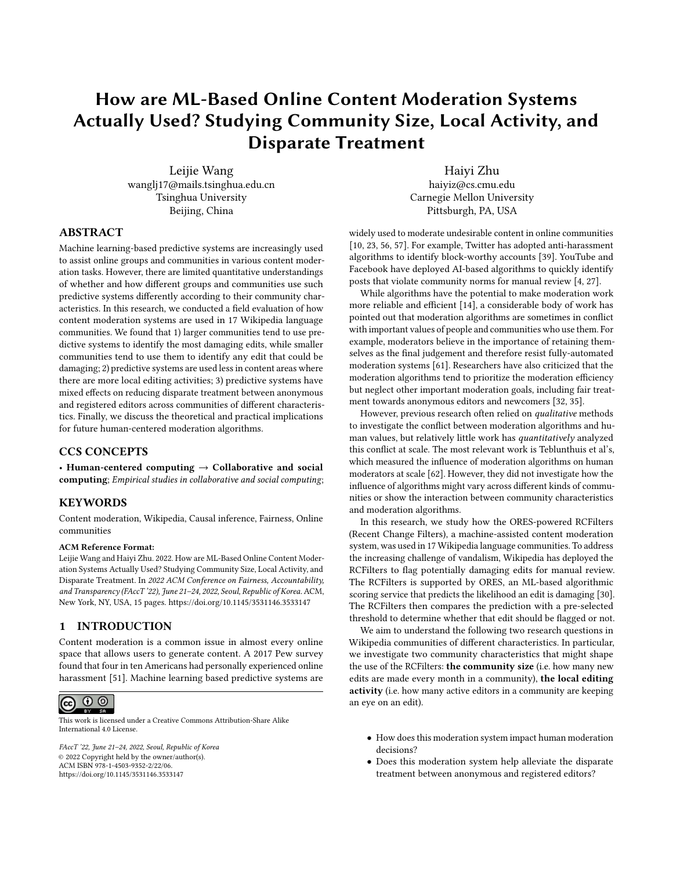FAccT '22, June 21-24, 2022, Seoul, Republic of Korea Leijie Wang, et al. (2012)

<span id="page-5-0"></span>

| Filter      | Group        | N.Obs   | R.Pr | A.Pr | Filter      | Group         | N.Obs   | R.Pr | A.Pr |
|-------------|--------------|---------|------|------|-------------|---------------|---------|------|------|
| May have    | Small wikis  | 459239  | 0.02 | 0.05 | May have    | Less active   | 1018536 | 0.06 | 0.38 |
| problems    | Medium wikis | 315726  | 0.06 | 0.27 | problems    | Moder, active | 901337  | 0.11 | 0.36 |
|             | Large wikis  | 1897603 | 0.12 | 0.45 |             | Very active   | 752695  | 0.13 | 0.36 |
| Likely have | Small wikis  | 25229   | 0.36 | 0.86 | Likely have | Less active   | 402316  | 0.26 | 0.89 |
| problems    | Medium wikis | 143988  | 0.37 | 0.92 | problems    | Moder, active | 303483  | 0.44 | 0.88 |
|             | Large wikis  | 814557  | 0.37 | 0.87 |             | Very active   | 277975  | 0.46 | 0.86 |
| Very likely | Small wikis  | 14976   | 0.74 | 0.95 | Very likely | Less active   | 131623  | 0.65 | 0.94 |
| have        | Medium wikis | 90313   | 0.77 | 0.97 | have        | Moder, active | 153256  | 0.83 | 0.93 |
| problems    | Large wikis  | 303388  | 0.76 | 0.91 | problems    | Very active   | 123798  | 0.81 | 0.91 |

Table 1: Descriptive Statistics of the Dataset: number of observations, proportion of reverted revisions, and proportion of anonymous editors in each subgroup and each threshold

estimate the causal effect by comparing outcomes above and below the threshold that represents an exogenous change in a "forcing variable" [\[50,](#page-12-17) [54\]](#page-12-18). Given the selection of a threshold for a continuous forcing variable is arbitrary, observations immediately below and above the threshold can be considered as the control group and the treated group respectively after adjusting the underlying trend of the forcing variable. For example, to identify the effect of passing an exam, we could compare students who barely passed and failed after adjusting the effect of the minor difference between their exam grades.

In virtue of RDDs, we measure the effect of the flagging system on the reverting probability by modeling the ORES prediction as the forcing variable and the set of thresholds arbitrarily chosen for the RCFilters as the threshold variable.

#### 6.1 Model Variables

We first introduce variables we will use in our regression models. In the following, the subscript  $r$  denotes that the variable varies across each revision, the subscript w denotes that the variable varies across each Wikipedia language edition, and the subscript j denotes that the variable varies across each filter.

- $Re$  ert<sub>r</sub> This dichotomous variable indicates whether a revision is reverted or not.
- $Dist_{ri}$  For each revision, this continuous variable measures the distance between its ORES prediction and a filter's threshold. Since the threshold varies across Wikipedia language editions,  $Dist_{ri}$  is calculated as follows:  $Dist_{ri}$  = score<sub>r</sub> – threshold<sub>iw</sub>
- Fla  $ed_{ri}$  This dichotomous variable indicates whether a revision is flagged or not by a filter.  $F1a$  ed<sub>rj</sub> = 1[Dist<sub>rj</sub> > 0]
- WikiSize $<sub>r</sub>$  This categorical variable indicates the size of the</sub> Wikipedia community the revision belongs to. It can be one of the following three values: small, medium, lar e.
- Acti  $eEditor<sub>r</sub>$  This categorical variable indicates the number of active editors by whom a revision will be monitored. It can take the following three values: less acti e, moderatel acti e, er acti e.

• EditorRole<sub>r</sub> This categorical variable indicates whether a revision is submitted by an anonymous editor. It can take the following two values: anon mous, re istered.

#### 6.2 Regression Models

Our analysis check examines the overall influence of algorithmic flags on the decision-making process, which we estimate by the Equation [1.](#page-5-1) For each filter, the collection of middle two terms  $(j\text{Dist}_{ri} + j\text{Dist}_{ri} \times \text{Flag}^2$  ed<sub>r1</sub>) represents how the ORES prediction itself predicts the reverting probability. Following established approaches to RDDs, we allow for a change in slope at the cutoff [\[50,](#page-12-17) [54\]](#page-12-18). We also include the term  $c_{Wj}$  to account for the differences of the average reverting probability across different Wikipedia communities and filters. Finally, the coefficient  $\mu$  denotes the effect of the flagging system on the reverting probability, which is the focal point in our analysis.

<span id="page-5-1"></span>
$$
lo \left(\frac{Re \text{ }ert_r}{1-Re \text{ }ert_r}\right) = jFla \text{ } ed_{rj} + jDist_{rj} + jDist_{rj} \times Fla \text{ } ed_{rj} + c_{wj}
$$
\n(1)

On the basis of the Equation [1,](#page-5-1) we further include interaction terms to examine the hypotheses as listed below. For convenience of exposition, we refer to the right-hand side of the Equation [1](#page-5-1) as the main variables.

- For Hypothesis 1, we have Model 1: examine the interaction between the main variables and  $W$ *ikiSize<sub>r</sub>*.
- For Hypothesis 2, we have Model 2: examine the interaction between the main variables and  $Acti$  eEditor<sub>r</sub>.
- For Hypothesis 3, we have Model 3: examine the interaction between the main variables and EditorRoler.
- For Hypothesis 4a, we have Model 4a: further allow the two-way interaction terms in Model 1 to vary across the EditorRole<sub>r</sub>.
- For Hypothesis 4b, we have Model 4b: further allow the two-way interaction terms in Model 2 to vary across the EditorRole<sub>r</sub>.

Table [2](#page-6-0) and Table [3](#page-9-0) then present the analysis results for each model.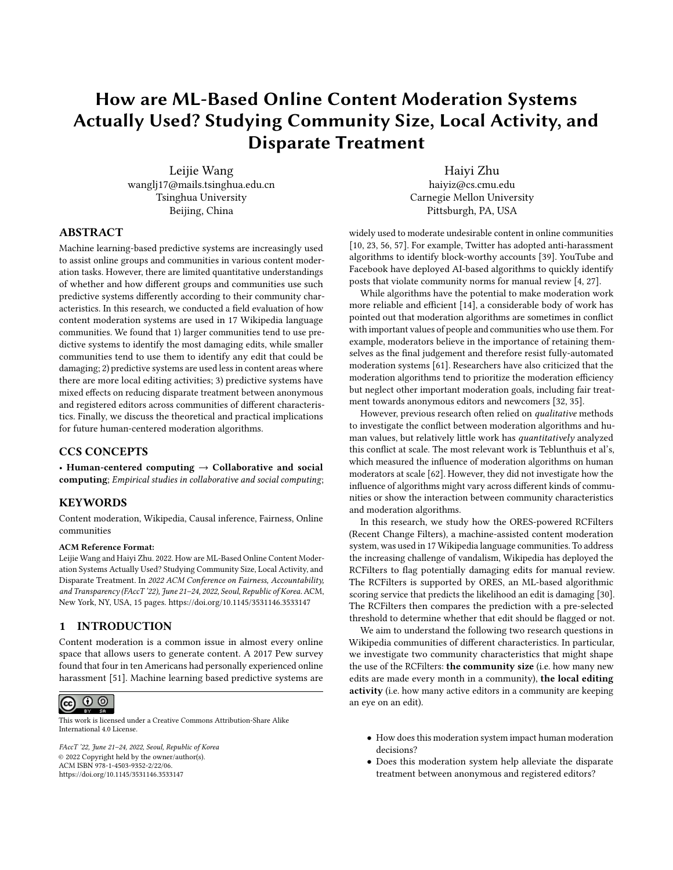<span id="page-6-0"></span>

|              | Analysis Check: Overall Effect |           |         |  |  |  |
|--------------|--------------------------------|-----------|---------|--|--|--|
| Filter       | Est.                           | Std.Err   |         |  |  |  |
|              | May have problems              | $0.02**$  | 0.01    |  |  |  |
|              | Likely have problems           | $0.03**$  | 0.01    |  |  |  |
|              | Very likely have problems      | $0.18*$   | 0.02    |  |  |  |
|              | Model 1: Community Size        |           |         |  |  |  |
| Filter       | Group                          | Est.      | Std.Err |  |  |  |
| May have     | Small wikis                    | $1.26***$ | 0.05    |  |  |  |
| problem      | Medium wikis                   | $-0.06*$  | 0.08    |  |  |  |
|              | Large wikis                    | $-0.02*$  | 0.01    |  |  |  |
| Likely have  | Small wikis                    | $-0.01$   | 0.05    |  |  |  |
| problem      | Medium wikis                   |           | 0.03    |  |  |  |
|              | Large wikis                    | 0.04      | 0.01    |  |  |  |
| Very likely  | Small wikis                    | 0.08      | 0.08    |  |  |  |
| have problem | Medium wikis                   | $0.08*$   | 0.02    |  |  |  |
|              | Large wikis                    | $0.23***$ | 0.02    |  |  |  |
|              |                                |           |         |  |  |  |

|               | $m$ ouch 2. Local Luming richvity |           |         |  |  |  |  |  |
|---------------|-----------------------------------|-----------|---------|--|--|--|--|--|
| Filter        | Group                             | Est.      | Std.Err |  |  |  |  |  |
| May have      | Less active                       | $0.08***$ | 0.02    |  |  |  |  |  |
| problems      | Moder. active                     | 0.01      | 0.01    |  |  |  |  |  |
|               | Very active                       | 0.01      | 0.01    |  |  |  |  |  |
| Likely have   | Less active                       | $0.06***$ | 0.01    |  |  |  |  |  |
| problems      | Moder, active                     | $0.04*$   | 0.01    |  |  |  |  |  |
|               | Very active                       | 0.01      | 0.02    |  |  |  |  |  |
| Very likely   | Less active                       | $0.19***$ | 0.03    |  |  |  |  |  |
| have problems | Moder. active                     | $0.18***$ | 0.03    |  |  |  |  |  |
|               | Very active                       | $0.15***$ | 0.03    |  |  |  |  |  |
|               | Model 3: Anonymity                |           |         |  |  |  |  |  |
| Filter        | Group                             | Est.      | Std.Err |  |  |  |  |  |
| May have      | Anonymous                         | $-0.02$   | 0.01    |  |  |  |  |  |
| problems      | Registered                        | $0.07***$ | 0.01    |  |  |  |  |  |
| Likely have   | Anonymous                         | $0.04***$ | 0.01    |  |  |  |  |  |
| problems      | Registered                        | 0.03      | 0.02    |  |  |  |  |  |
| Very likely   | Anonymous                         | $0.18***$ | 0.02    |  |  |  |  |  |
| have problems | Registered                        | $0.16*$   | 0.03    |  |  |  |  |  |
|               |                                   |           |         |  |  |  |  |  |

Model 2: Local Editing Activity

Table 2: Regression results. Regression predicting the effects of the flagging system on the reverting probability for each filter and each subgroup, i.e., the coefficient  $\beta$  in the regression model (\*p<0.05; \*\*p<0.01; \*\*\*p<0.001)

## 7 FINDINGS

#### 7.1 Effects of RCFilters on Content Removal

Before presenting results about the community size and local editing activity, we examine the overall effect of the RCFilters on revisions. In support of our analysis check and prior research, the Analysis Check Model in Table [2](#page-6-0) predicts that being flagged by any filter significantly increases the reverting probability of a revision. Figure [2](#page-7-0) illustrates that the "very likely have problems" filter contributes to an approximately 3.0% change in the reverting probability.

#### 7.2 Influence of Community Sizes

For the "may have problems" filter, Model 1 in Table [2](#page-6-0) predicts that being flagged significantly increases the reverting odds of a revision by 1.26 (95% CI: [1.17, 1.35]) in small Wikipedia communities. By contrast, the effects in medium and large communities are very close to zero (Est.=-0.06, 95% CI: [-0.12, 0.00]; Est.=-0.02, 95% CI: [-0.04, 0.00] respectively). This disparity is illustrated by Figure [3a](#page-7-1) from which we can observe an approximately 2.4% jump of the reverting probability for small communities but a slight drop for medium and large ones.

However, at the "very likely have problems" filter, we observe a significant flagging effect in medium wikis (Est.=0.08, p<0.05, 95% CI: [0.02, 0.14]) and large wikis (Est.=0.23, p<0.001, 95% CI: [0.19, 0.27]) but no significant effect in small wikis (Est.=0.08, 95% CI: [-0.08, 0.24]). Figure [3b](#page-7-1) shows that the change in the reverting probability in large wikis is around 3.6%, more significant than the changes in medium and small wikis. At the "likely have problems" filter, we find that the flagging system in large wikis contributes to

an increase of the reverting logit between 2% and 5%, but we have less confidence in the flagging effect in medium wikis (Est.=0.04, 95% CI: [-0.01, 0.08]). We do not notice a significant effect in small wikis.

These results demonstrate that the impact of the flagging system varies across communities of different sizes. While flagging an edit as "may have problems" significantly increases its probability of revert in small communities, the flagging effect is limited in medium and large communities. Conversely, for the "very likely have problems" filter, flagged edits are significantly more likely to be reverted than non-flagged edits in medium and large communities, despite no detectable effect in small communities. Therefore, the Hypothesis 1 is only supported for the "likely have problems" and "very likely have problems" filters but not for the "may have problems" filter.

#### 7.3 Effects of Local Editing Activity

Model 2 in Table [2](#page-6-0) tests the hypothesis 2 that whether local editing activity will mediate the effect of the RCFilters on moderation decisions. We observe that the flagging effects of the "may have problems" and "likely have problems" filters are less significant on revisions made on moderately active or very active articles. As visualized in Figure [4a,](#page-8-0) being flagged by the "may have problems" filter increases the reverting probability by around 0.5% for revisions of the "less active" group. However, the effect is less detectable for articles of the other two groups.

Surprisingly, for the "very likely have problems" filter, we do not observe significant differences in the flagging effect on revisions of different local editing activity groups. The "very likely have problems" filter increases the reverting odds for revisions of any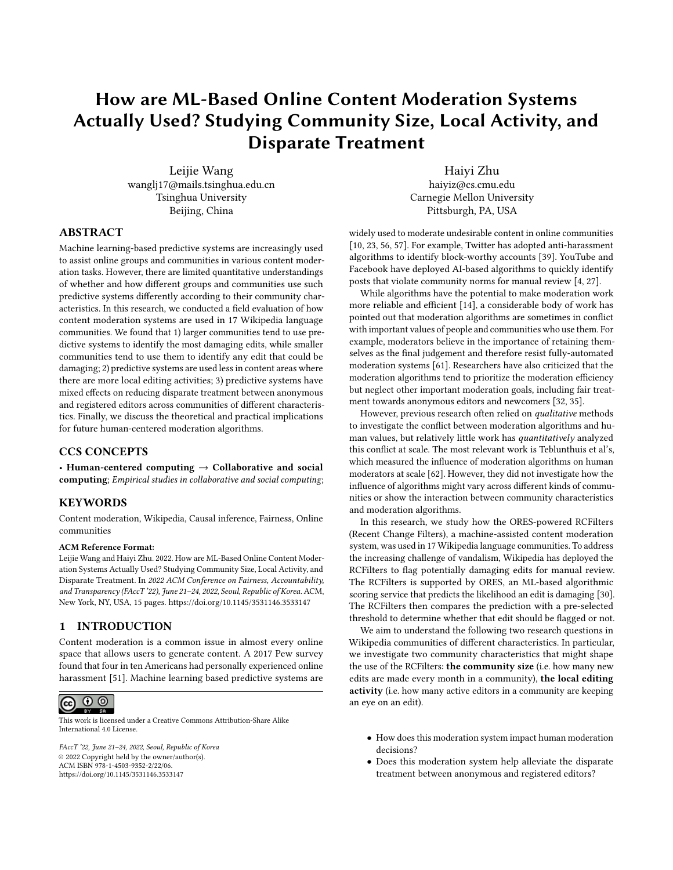<span id="page-7-0"></span>FAccT '22, June 21-24, 2022, Seoul, Republic of Korea Leijie Wang, et al. (2012)



Figure 2: Effects of the RCFilters on content removal for each threshold. The x-axis is the distance away from the threshold and y-axis is the reverting probability with the 95% credible interval. We also estimate the jump at the cutoff.

<span id="page-7-1"></span>

(b) "Very likely have problems" threshold

Figure 3: Effects of the RCFilters on content removal for each community size and threshold. The x-axis is the distance away from the threshold and the y-axis is the reverting probability with its 95% credible interval. We also estimate the jump at the cutoff.

local editing activity group. Figure [4b](#page-8-0) shows that the change in the reverting probability is around 4.1% for the "less active" group, 2.3% for the "moderately active" group, and 2.3% for the "very active" group.

To summarise, for "may have problems" and "likely have problems" filters, the flagging effects are stronger for less active articles. Conversely, being flagged as "very likely have problems" significantly increases the reverting odds of revisions in all groups of articles. Therefore, our Hypothesis 2 only holds for the first two filters.

#### 7.4 Effects of Anonymity

Model 3 in Table [2](#page-6-0) shows the flagging effect on the disparate treatment between anonymous and registered editors. Consistent with [\[62\]](#page-12-4), we find that the flagging effect of the "may have problems" filter for anonymous editors is significantly lower than that for

registered editors (Est.Diff=-0.09, 95% CI: [-0.12, -0.05]). Our findings differ from [\[62\]](#page-12-4) in that we do not detect significant differences between these two editor groups for the "likely have problems" and "very likely have problems" filters. Our Hypothesis 3 is only supported for the "may have problems" filter. Therefore, we focus on the "may have problems" filter in the following and present the results for the other two filters in the Appendix.

7.4.1 Community Sizes. Model 4a in Table [3](#page-9-0) shows that the flagging system has a divergent influence on the disparate treatment between anonymous and registered editors in communities of different sizes. In small communities, we find that the flagging effect on anonymous editors is significantly smaller than that on registered editors (Est.Diff=-0.69, 95% CI: [-0.87, -0.50]). On the contrary, the difference between two editor groups in medium communities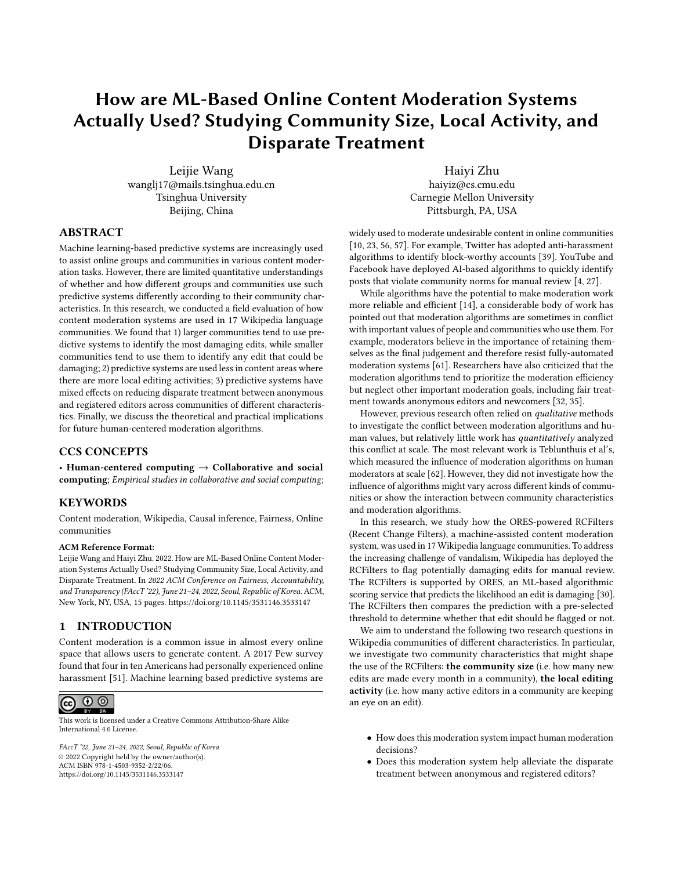<span id="page-8-0"></span>

(b) "Very likely have problems" threshold

Figure 4: Effects of the RCFilters on content removal for each level of local editing activity and threshold. The x-axis is the distance away from the threshold and the y-axis is the reverting probability with the 95% credible interval. We also estimate the jump at the cutoff.

is opposite in sign (Est.Diff=0.17, 95% CI: [0.05, 0.29]). For large communities, we do not detect significant differences between these two groups (Est.Diff=-0.02, 95% CI: [-0.06, 0.01]).

These findings suggest a dynamic relationship between algorithmic flags and the disparity between anonymous and registered editors: the flagging system reduces the disparity in small communities, increases it in medium communities, and has no detectable effect on it in large communities. Therefore, our Hypothesis 4a is not supported.

7.4.2 Local Editing Activity. By contrast, Model 4b in Table [3](#page-9-0) indicates a more consistent impact of algorithmic flags on the disparity between editor groups. For edits in the "less active" and the "very active" group, the flagging effect is significantly weaker for anonymous editors than for registered editors (Est.Diff=-0.15, 95% CI: [-0.22, -0.09]; Est.Diff=-0.10, 95% CI: [-0.15, -0.04] respectively). For revisions in the "moderately active" group, we have less confidence in the difference between editor groups because the 95% credible interval includes zero (Est.Diff=-0.04, 95% CI: [-0.10, 0.02]). Our results indicate that the flagging system alleviates the bias against anonymous editors for less active or very active articles but has no detectable effect on moderately active articles. Our Hypothesis 4b is not supported. We attempt to explain the divergence between our hypotheses and findings in the Discussion.

## 8 DISCUSSION

# 8.1 Community Characteristics Can Shape the Use of Moderation Algorithms

A large body of research seeks to understand how groups integrate new technologies in various organizational setting. Orlikowski's

concept of technological frames suggests that group members' shared "assumptions, expectations, and knowledge to understand technology" profoundly structure the way new technology is adopted and used [\[55\]](#page-12-19). Through the lens of this concept we discuss how community characteristics shape the use of moderation algorithms in Wikipedia.

Community Sizes We find that moderators in larger communities tend to use the "very likely have problems" filter and possibly the "likely have problems" filter, while moderators in small communities tend to use the "may have problems" filter. Given these filters only differ in their trade-offs between recall and precision, our findings indicate that moderators in large communities prioritise removing extremely damaging edits as quickly as possible, while moderators in small communities prioritise removing all edits that are harmful to varying degrees. A possible explanation is that vandalism in large communities is more widespread and detrimental due to their extensive publicity. Moderators therefore focus on the efficiency of moderation tools and adopt them primarily to facilitate vandalism fighting.

Local Editing Activity Our findings reveal that the interaction between local editing activity and the flagging system varies across filters. Being flagged as "may have problems" only impacts revisions on less active articles, while being flagged as "very likely have problems" increases the reverting odds by at least 1% regardless of the number of active editors. These findings suggest moderators in local communities use the moderation tools differently. Owing to the limited number of new edits in local communities and the closer relationship between community members, local moderators feel less stressful about vandalism and can coordinate more efficiently.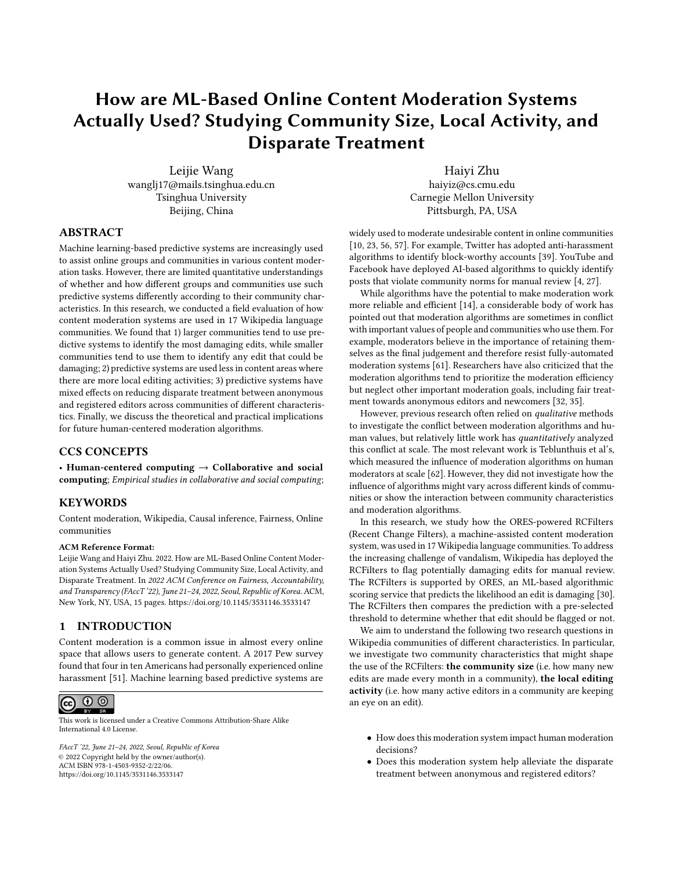<span id="page-9-0"></span>

| Model 4a: Anonymity × Community Size |             |            | Model 4b: Anonymity × Local Editing Activity |                   |             |           |         |
|--------------------------------------|-------------|------------|----------------------------------------------|-------------------|-------------|-----------|---------|
| Group                                | Editor role | Est.       | Std.Err                                      | Group             | Editor role | Est.      | Std.Err |
| Small wikis                          | Anonymous   | $0.26***$  | 0.08                                         | Less active       | Anonymous   | 0.01      | 0.02    |
|                                      | Registered  | $0.95***$  | 0.06                                         |                   | Registered  | $0.16***$ | 0.03    |
| Medium wikis                         | Anonymous   | 0.06       | 0.04                                         | Moderately active | Anonymous   | $-0.02$   | 0.02    |
|                                      | Registered  | $-0.11***$ | 0.04                                         |                   | Registered  | 0.02      | 0.02    |
| Large wikis                          | Anonymous   | $-0.03*$   | 0.01                                         | Very active       | Anonymous   | $-0.04$   | 0.02    |
|                                      | Registered  | $-0.01$    | 0.01                                         |                   | Registered  | $0.05***$ | 0.02    |

Table 3: Regression predicting the effect of the "may have problems" filter on the reverting probability for each editor role and each subgroup, i.e., the coefficient j in the regression model (\*p<0.05; \*\*p<0.01; \*\*\*p<0.001)

Consequently, they rely less on machine-assisted systems and review edits more carefully. On the other hand, local moderators still find the "very likely have problems" filter useful in that it helps them identify and remove extremely harmful edits more quickly. They can then review less harmful edits more carefully in terms of their quality and alignment with local community norms.

## 8.2 The Effect of Moderation Algorithms on Fairness Varies across Communities

Prior research has offered disparate predictions about the impact of algorithms on fairness [\[5,](#page-11-29) [6,](#page-11-25) [17,](#page-11-26) [28,](#page-11-27) [39,](#page-11-2) [42\]](#page-11-28). Here we argue that the relationship between moderation algorithms and fairness is more complicated. In Wikipedia, whether and to what extent the algorithm promotes fairness in the community depends on a variety of practical factors, especially the moderation trade-offs of the algorithm and community characteristics.

Moderation Trade-offs Our findings are different from those of Teblunthuis et al. in that we demonstrate that the overall effect of the RCFilters on the disparate treatment between editor groups is only significant for the "may have problems" filter. One possible reason is that the other two filters of higher thresholds choose higher accuracy in the trade-off between accuracy and recall. Since very damaging edits are largely made by anonymous editors, in order to optimize accuracy, these two filters primarily flag anonymous edits instead of surfacing damaging edits by all kinds of editors. As we can see from the Table [1,](#page-5-0) among edits flagged by the "very likely have problems" filter, anonymous edits account for 95%. Hence, these two filters have little impact on the fairness between editor groups.

Community Characteristics We find that the "may have problems" filter reduces the disparity in small communities, increases it in medium communities, and has no detectable influence on it in large communities. We also find that the "may have problems" filter alleviates discrimination against anonymous editors regardless of the number of active editors in the local community, and the effect in the less active communities is the most significant. Since we have demonstrated before that this filter is most frequently used only in small and less active communities, its significant effect on fairness in these two communities indicates the ability of the moderation algorithm to promote fairness. Further, even this filter is less frequently used in moderately or very active communities, it is still

able to promote fairness between editor groups. Surprisingly, our findings suggest that the "may have problems" filter reinforces the bias against anonymous editors in medium Wikipedia communities. Since the ORES system has selected a different set of language features and used a different training dataset in each language edition, one possible reason is that the algorithm performances on anonymous and registered edits differ in communities of varying sizes.

## 8.3 Design Implications for Future Human-centered Moderation Algorithms

Our findings have important design implications for future designers of social media applications and online platforms. Empowering moderators to adapt moderation tools to their workflows. Our findings echo advocates of prior research that stakeholders should have the authority to determine trade-offs between critical criteria of an algorithmic system so that they can fully take advantage of the system to facilitate their moderation work [\[61\]](#page-12-3). In practice, we suggest future moderation systems present the system performances (e.g. accuracy, false-positive rate etc.) to moderators and empower them to choose the most desirable threshold according to their workflows and community characteristics.

Supporting moderation work of communities of different sizes. Our findings highlight the community size as an important factor that determines the priority of moderation tasks. While most moderation algorithmic systems are designed to help scale manual moderation [\[4,](#page-11-3) [27\]](#page-11-4) and therefore better serve the priorities of large communities, system developers should investigate the special needs of small online communities and support them accordingly. For example, moderators in small communities collaborate with each other more often, which underscores the needs to record the moderation history of each person and support more efficient task allocation [\[19\]](#page-11-39).

Besides, while we find that small communities tend to use the "may have problems filter", we also notice some room for improvements of the algorithmic performance of this filter in small communities. As shown in the figure [3a,](#page-7-1) for edits with ORES scores below the "may have problems" threshold, a higher ORES prediction score predicts a lower reverting probability in small communities,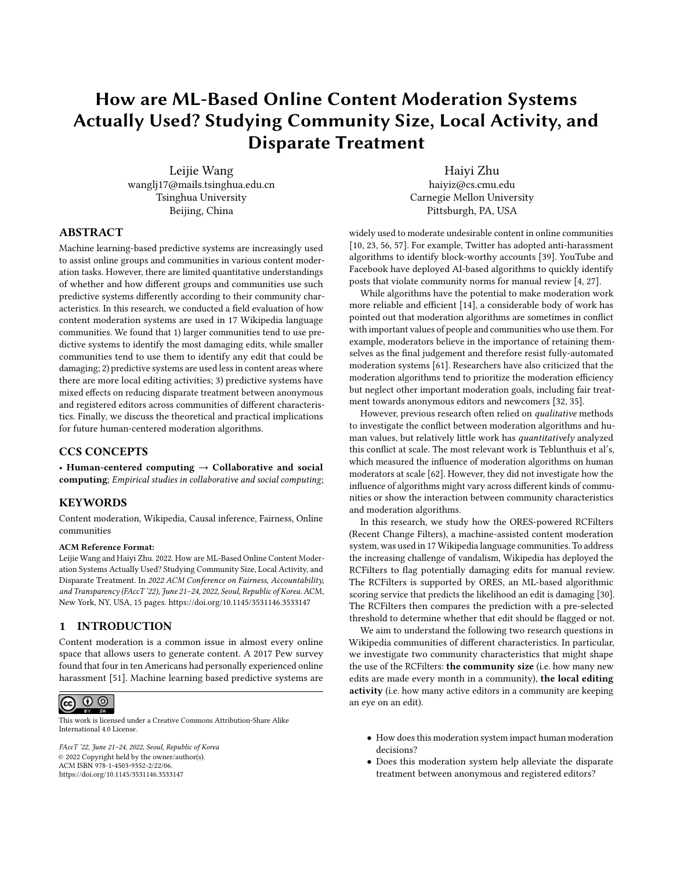contrary to a higher reverting probability in medium and large communities. This suggests that the ORES algorithm performs better in medium and large communities than in small communities.

Motivating and empowering local community members to moderate content. We present another side of the moderation work in online communities: editors of local communities build another layer of the immune system in addition to fully autonomous robots and centralized moderators [\[35\]](#page-11-7). Local editors can review content in a context-sensitive manner by carrying local community norms in mind. Online platforms should consider how to design their platform structures to incentivize local editors to participate in the fights against vandalism. One possible approach is to reinforce people's identity as a member of a local community. Kittur et al. showed that joining a WikiProject encourages people to spend more efforts in reverting vandalism for articles within their affiliated WikiProject domain [\[47\]](#page-11-37). Therefore, we suggest system developers recommend relevant interest groups to local editors or offer dedicated local editors a badge or an award to give them a sense of community.

## 9 LIMITATION AND FUTURE WORK

Our findings are subject to several threats to validity associated with the regression discontinuity design we adopt to draw causal inferences. Formally, in RDD models, if optimizing agents do not have precise control over the forcing variable, then the variation in the treatment will be as good as randomized in a neighborhood around the discontinuity threshold [\[50,](#page-12-17) [54\]](#page-12-18). In an ideal RDD setting, individuals are allowed to exert some control over the forcing variable but they are assumed to be incapable of self-selection into treatment or control groups.

Although this assumption of the RDD method is fundamentally unverifiable, we believe that the RCFilters is an ideal setting to apply the RDD method for the following reasons. One significant challenge to the assumption is the hypothetical possibility of potential vandals' handcrafting their damaging edits to avoid algorithmic flags. The ORES system provides detailed information about a prediction through its public API and allows users to inject their features and observe how the prediction changes accordingly. However, Wikipedia's complex moderation network means that a successful evasion of the RCFilters flags would not guarantee a successful vandalism act. The great efforts required and the low payoff of such actions suggest they are unrealistic and very unlikely to be widespread [\[62\]](#page-12-4).

Secondly, to test the assumption of RDDs, we examine whether the treatment and control groups are similar in their observed baseline characteristics that are determined prior to the treatment [\[50\]](#page-12-17). We expect there is no abrupt jump or drop of predetermined characteristics across the cutoff. We select the following baseline features shared by revisions in all Wikipedia language editions to test our assumption: the number of external links of each revision and its parent article, the length of each revision and its parent article, and the length of the longest repeated characters. We substitute the left-hand side of the Equation [1](#page-5-1) with each feature and present the regression results in the Appendix. In support of our assumption, we do not find detectable differences of these predetermined characteristics across the threshold.

Besides, since we aimed to quantify the effect of the RCFilters on moderation decision-making in community of different characteristics, we only focused on moderation decisions between 2019 and 2020 and did not investigate how this effect changes over time. It is possible that, as community members continue to use the RCFilters, their perception of the moderation system and their interaction with this system changes, which resulted in varying effects of the RCFilters at different time periods. Future work could more carefully investigate how machine-assisted moderation decisions might vary across time.

Finally, in order to provide a detailed case study of how machineassisted moderation systems are actually used, we narrowed our analysis to the Wikipedia context, and therefore our findings are inevitably closely related to the setting of the RCFilters and the Wikipedia community. However, we believe our findings are still able to provide important insights for understanding content moderation practice in a broader context for the following reasons. Firstly, the proliferation of channels and sub-communities in various online platforms like Reddit, Twitch, and Discord highlights the need to understand the variance of moderation needs and practice among these sub-communities. While prior research has revealed the greater moderation challenges of large communities [\[44\]](#page-11-40) and their heavier reliance on automated moderation approach [\[43,](#page-11-47) [59\]](#page-12-13), we highlighted the variance of moderation goals across communities of different sizes and the importance of designing moderation systems accordingly. Secondly, numerous local communities have grown on online platforms and started to moderate their content in a community-based approach [\[47,](#page-11-37) [49\]](#page-11-42). We revealed the critical role local communities play in protecting their community against vandalism and the need to design machine-assisted moderation systems for local communities.

## 10 CONCLUSION

In this research, we examine several factors that shape the use of a machine-assisted moderation system named RCFilters in the sociotechnical context of Wikipedia through a regression discontinuity design. We found that 1) larger communities tend to use predictive systems to identify the most damaging edits, while smaller communities tend to use them to identify any edit that could be damaging; 2) predictive systems are used less in content areas where there are more local editing activities; 3) predictive systems have mixed effects on reducing disparate treatment between anonymous and registered editors in different communities.

#### ACKNOWLEDGMENTS

We would like to thank Zhiwei Steven Wu, Nathan TeBlunthuis, Aaron Halfaker, members of the HCII at Carnegie Mellon University, and our anonymous reviewers for their help in this project. This work was supported by the National Science Foundation (NSF) under Award No.2001851, 2000782, 1952085, and the NSF Program on Fairness in AI in collaboration with Amazon under Award No.1939606.

#### REFERENCES

<span id="page-10-0"></span>[1] Adrian Chen. 2014. The Laborers Who Keep Dick Pics And Beheadings Out Of Your Facebook Feed. ["https://www.wired.com/2014/10/content-moderation/".]("https://www.wired.com/2014/10/content-moderation/") [Online; accessed 19-August-2021].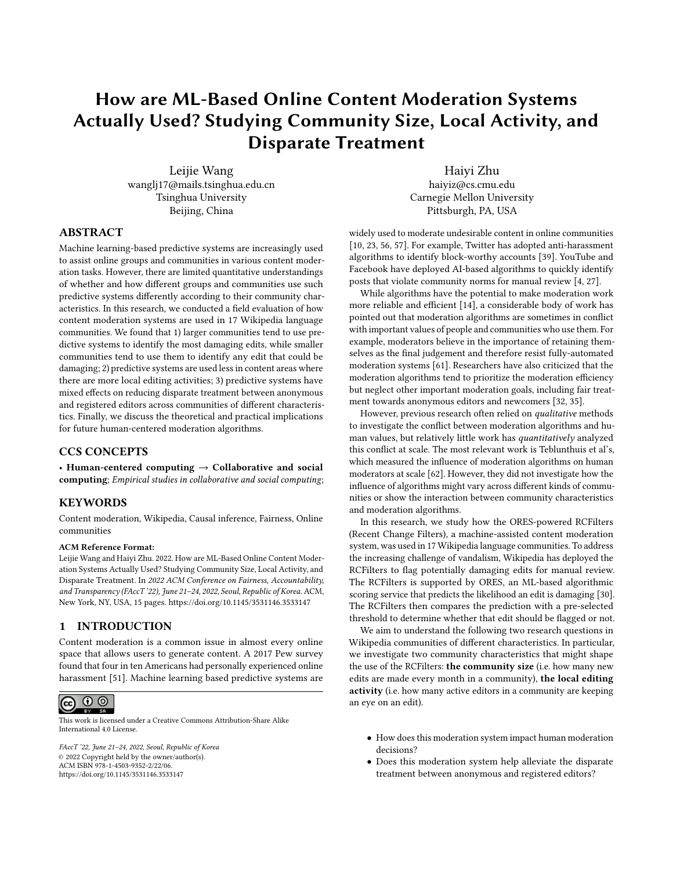#### FAccT '22, June 21-24, 2022, Seoul, Republic of Korea Leijie Wang, et al. (2012)

- <span id="page-11-10"></span>[2] Andrew Liptak. 2017. IMDb is closing its message boards. ["https://web.archive.]("https://web.archive.org/web/20190410195135/https://www.theverge.com/2017/2/3/14501390/imdb-closing-user-forums-comments") [org/web/20190410195135/https://www.theverge.com/2017/2/3/14501390/imdb]("https://web.archive.org/web/20190410195135/https://www.theverge.com/2017/2/3/14501390/imdb-closing-user-forums-comments")[closing-user-forums-comments".]("https://web.archive.org/web/20190410195135/https://www.theverge.com/2017/2/3/14501390/imdb-closing-user-forums-comments") [Online; accessed 07-Sep-2021].
- <span id="page-11-24"></span>Rachel KE Bellamy, Kuntal Dey, Michael Hind, Samuel C Hoffman, Stephanie Houde, Kalapriya Kannan, Pranay Lohia, Jacquelyn Martino, Sameep Mehta, Aleksandra Mojsilović, et al. 2019. AI Fairness 360: An extensible toolkit for detecting and mitigating algorithmic bias. IBM Journal of Research and Development 63, 4/5 (2019), 4–1.
- <span id="page-11-3"></span>[4] Monika Bickert. 2018. Publishing our internal enforcement guidelines and expanding our appeals process. [https://about.fb.com/news/2018/04/comprehensive](https://about.fb.com/news/2018/04/comprehensive-community-standards/)[community-standards/](https://about.fb.com/news/2018/04/comprehensive-community-standards/)
- <span id="page-11-29"></span>[5] Reuben Binns, Michael Veale, Max Van Kleek, and Nigel Shadbolt. 2017. Like trainer, like bot? Inheritance of bias in algorithmic content moderation. In International conference on social informatics. Springer, 405–415.
- <span id="page-11-25"></span>[6] Su Lin Blodgett, Lisa Green, and Brendan O'Connor. 2016. Demographic dialectal variation in social media: A case study of African-American English. arXiv preprint arXiv:1608.08868 (2016).
- <span id="page-11-44"></span>[7] Susan L. Bryant, Andrea Forte, and Amy Bruckman. 2005. Becoming Wikipedian: Transformation of participation in a collaborative online encyclopedia. Proceedings of the International ACM SIGGROUP Conference on Supporting Group Work (2005), 1–10.<https://doi.org/10.1145/1099203.1099205>
- <span id="page-11-12"></span>[8] Eshwar Chandrasekharan, Chaitrali Gandhi, Matthew Wortley Mustelier, and Eric Gilbert. 2019. Crossmod: A Cross-Community Learning-based System to Assist Reddit Moderators. Proceedings of the ACM on Human-Computer Interaction 3, CSCW (nov 2019), 1–30.<https://doi.org/10.1145/3359276>
- <span id="page-11-38"></span>[9] Eshwar Chandrasekharan, Mattia Samory, Shagun Jhaver, Hunter Charvat, Amy Bruckman, Cliff Lampe, Jacob Eisenstein, and Eric Gilbert. 2018. The internet's hidden rules: An empirical study of Reddit norm violations at micro, meso, and macro Scales. Proceedings of the ACM on Human-Computer Interaction 2, CSCW (2018), 1–25.
- <span id="page-11-0"></span>[10] Eshwar Chandrasekharan, Mattia Samory, Anirudh Srinivasan, and Eric Gilbert. 2017. The bag of communities: Identifying abusive behavior online with preexisting internet data. In Proceedings of the 2017 CHI Conference on Human Factors in Computing Systems. 3175–3187.
- <span id="page-11-18"></span>[11] Alexandra Chouldechova and Aaron Roth. 2018. The frontiers of fairness in machine learning. arXiv preprint arXiv:1810.08810 (2018).
- <span id="page-11-22"></span>[12] Sam Corbett-Davies, Emma Pierson, Avi Feller, Sharad Goel, and Aziz Huq. 2017. Algorithmic decision making and the cost of fairness. In Proceedings of the 23rd acm sigkdd international conference on knowledge discovery and data mining. 797–806.
- <span id="page-11-13"></span>[13] Bo Cowgill. 2019. Bias and productivity in humans and machines. Columbia Business School Research Paper Forthcoming (2019).
- <span id="page-11-5"></span>[14] Paul B de Laat. 2016. Profiling vandalism in Wikipedia: A Schauerian approach to justification. Ethics and Information Technology 18, 2 (2016), 131–148.
- <span id="page-11-35"></span>[15] Paul B. de Laat. 2016. Profiling vandalism in Wikipedia: A Schauerian approach to justification. Ethics and Information Technology 18, 2 (2016), 131–148. [https:](https://doi.org/10.1007/s10676-016-9399-8) [//doi.org/10.1007/s10676-016-9399-8](https://doi.org/10.1007/s10676-016-9399-8)
- <span id="page-11-20"></span>[16] Cynthia Dwork, Moritz Hardt, Toniann Pitassi, Omer Reingold, and Richard Zemel. 2012. Fairness through awareness. In Proceedings of the 3rd innovations in theoretical computer science conference. 214–226.
- <span id="page-11-26"></span>[17] Michael D Ekstrand and Daniel Kluver. 2021. Exploring author gender in book rating and recommendation. User modeling and user-adapted interaction (2021),  $1 - 44$
- <span id="page-11-9"></span>[18] Elizabeth Jensen. 2016. NPR Website To Get Rid Of Comments. ["https://web.archive.org/web/20190723073441/https://www.npr.org/sections/]("https://web.archive.org/web/20190723073441/https://www.npr.org/sections/publiceditor/2016/08/17/489516952/npr-website-to-get-rid-of-comments") [publiceditor/2016/08/17/489516952/npr-website-to-get-rid-of-comments".]("https://web.archive.org/web/20190723073441/https://www.npr.org/sections/publiceditor/2016/08/17/489516952/npr-website-to-get-rid-of-comments") [Online; accessed 07-Sep-2021].
- <span id="page-11-39"></span>[19] Scott L Feld. 1982. Social structural determinants of similarity among associates. American sociological review (1982), 797–801.
- <span id="page-11-41"></span>[20] Andrea Forte, Niki Kittur, Vanessa Larco, Haiyi Zhu, Amy Bruckman, and Robert E Kraut. 2012. Coordination and beyond: social functions of groups in open content production. In Proceedings of the ACM 2012 conference on Computer Supported Cooperative Work. 417–426.
- <span id="page-11-31"></span>[21] R Stuart Geiger. 2014. Bots, bespoke, code and the materiality of software platforms. Information, Communication & Society 17, 3 (2014), 342–356.
- <span id="page-11-32"></span>[22] R Stuart Geiger. 2016. Bot-based collective blocklists in Twitter: the counterpublic moderation of harassment in a networked public space. Information, Communication & Society 19, 6 (2016), 787–803.
- <span id="page-11-1"></span>[23] R. Stuart Geiger and Aaron Halfaker. 2013. When the levee breaks: Without bots, what happens to wikipedia's quality control processes? Proceedings of the 9th International Symposium on Open Collaboration, WikiSym + OpenSym 2013 (2013),  $0 - 5.$
- <span id="page-11-15"></span>[24] R. Stuart Geiger and David Ribes. 2010. The work of sustaining order in wikipedia. In Proceedings of the 2010 ACM conference on Computer supported cooperative work - CSCW '10. ACM Press, New York, New York, USA, 117. [https://doi.org/](https://doi.org/10.1145/1718918.1718941) [10.1145/1718918.1718941](https://doi.org/10.1145/1718918.1718941)
- <span id="page-11-34"></span>[25] R Stuart Geiger and David Ribes. 2010. The work of sustaining order in Wikipedia: The banning of a vandal. In Proceedings of the 2010 ACM conference on Computer

supported cooperative work. 117–126.

- <span id="page-11-16"></span>[26] R Stuart Geiger and David Ribes. 2011. Trace ethnography: Following coordination through documentary practices. In 2011 44th Hawaii international conference on system sciences. IEEE, 1–10.
- <span id="page-11-4"></span>[27] Google. 2018. YouTube Community Guidelines enforcement in Google's Tranparency Report for 2018. [https://transparencyreport.google.com/youtube](https://transparencyreport.google.com/youtube-policy/removals/)[policy/removals/](https://transparencyreport.google.com/youtube-policy/removals/)
- <span id="page-11-27"></span>[28] Robert Gorwa, Reuben Binns, and Christian Katzenbach. 2020. Algorithmic content moderation: Technical and political challenges in the automation of platform governance. Big Data & Society 7, 1 (2020), 2053951719897945.
- <span id="page-11-14"></span>[29] Tommi Gröndahl, Luca Pajola, Mika Juuti, Mauro Conti, and N Asokan. 2018. All you need is" love" evading hate speech detection. In Proceedings of the 11th ACM workshop on artificial intelligence and security. 2–12.
- <span id="page-11-8"></span>[30] Aaron Halfaker and R. Stuart Geiger. 2020. ORES: Lowering Barriers with Participatory Machine Learning in Wikipedia. Proceedings of the ACM on Human-Computer Interaction 4, CSCW2 (2020).<https://doi.org/10.1145/3415219> arXiv[:1909.05189](https://arxiv.org/abs/1909.05189)
- <span id="page-11-17"></span>[31] Aaron Halfaker, R. Stuart Geiger, Jonathan T. Morgan, and John Riedl. 2013. The Rise and Decline of an Open Collaboration System. American Behavioral Scientist 57, 5 (may 2013), 664–688.<https://doi.org/10.1177/0002764212469365>
- <span id="page-11-6"></span>[32] Aaron Halfaker, R. Stuart Geiger, and Loren Terveen. 2014. Snuggle: Designing for efficient socialization and ideological critique. Conference on Human Factors in Computing Systems - Proceedings (2014), 311–320. [https://doi.org/10.1145/](https://doi.org/10.1145/2556288.2557313) [2556288.2557313](https://doi.org/10.1145/2556288.2557313)
- <span id="page-11-36"></span>[33] Aaron Halfaker, Aniket Kittur, Robert Kraut, and John Riedl. 2009. A jury of your peers: Quality, experience and ownership in Wikipedia. Proceedings of the 5th International Symposium on Wikis and Open Collaboration, WiKiSym 2009 (2009). <https://doi.org/10.1145/1641309.1641332>
- <span id="page-11-46"></span>[34] Aaron Halfaker, Aniket Kittur, and John Riedl. 2011. Don't bite the newbies: How reverts affect the quantity and quality of Wikipedia work. WikiSym 2011 Conference Proceedings - 7th Annual International Symposium on Wikis and Open Collaboration (2011), 163–172.<https://doi.org/10.1145/2038558.2038585>
- <span id="page-11-7"></span>[35] Aaron Halfaker and John Riedl. 2012. Bots and cyborgs: Wikipedia's immune system. Computer 45, 3 (2012), 79–82.<https://doi.org/10.1109/MC.2012.82> [36] Moritz Hardt, Eric Price, and Nati Srebro. 2016. Equality of opportunity in
- <span id="page-11-19"></span>supervised learning. Advances in neural information processing systems 29 (2016), 3315–3323.
- <span id="page-11-43"></span>[37] Benjamin Mako Hill and Aaron Shaw. 2020. The Hidden Costs of Requiring Accounts: Quasi-Experimental Evidence From Peer Production. Communication Research (2020), 0093650220910345.
- <span id="page-11-33"></span>[38] Shagun Jhaver, Iris Birman, Eric Gilbert, and Amy Bruckman, 2019. Humanmachine collaboration for content regulation: The case of Reddit Automoderator. ACM Transactions on Computer-Human Interaction (TOCHI) 26, 5 (2019), 1–35.
- <span id="page-11-2"></span>[39] Shagun Jhaver, Sucheta Ghoshal, Amy Bruckman, and Eric Gilbert. 2018. Online harassment and content moderation: The case of blocklists. ACM Transactions on Computer-Human Interaction (TOCHI) 25, 2 (2018), 1–33.
- <span id="page-11-45"></span>[40] Adam Joinson. 1998. Causes and implications of disinhibited behavior on the Internet. (1998).
- <span id="page-11-21"></span>[41] Matthew Joseph, Michael Kearns, Jamie Morgenstern, and Aaron Roth. 2016. Fairness in learning: Classic and contextual bandits. arXiv preprint arXiv:1605.07139 (2016).
- <span id="page-11-28"></span>[42] Julia Angwin, Hannes Grassegger. 2017. Facebook's Secret Censorship Rules Protect White Men From Hate Speech But Not Black Children. ["https://www.propublica.org/article/facebook-hate-speech-censorship]("https://www.propublica.org/article/facebook-hate-speech-censorship-internal-documents-algorithms")[internal-documents-algorithms".]("https://www.propublica.org/article/facebook-hate-speech-censorship-internal-documents-algorithms") [Online; accessed 06-Jan-2022].
- <span id="page-11-47"></span>[43] Charles Kiene and Benjamin Mako Hill. 2020. Who uses bots? a statistical analysis of bot usage in moderation teams. Conference on Human Factors in Computing Systems - Proceedings (2020), 1–8.<https://doi.org/10.1145/3334480.3382960>
- <span id="page-11-40"></span>[44] Charles Kiene, Jialun Aaron Jiang, and Benjamin Mako Hill. 2019. Technological frames and user innovation: exploring technological change in community moderation teams. Proceedings of the ACM on Human-Computer Interaction 3, CSCW (2019), 1–23.
- <span id="page-11-11"></span>[45] Sara Kiesler, Robert Kraut, Paul Resnick, and Aniket Kittur. 2012. Regulating behavior in online communities. Building Successful Online Communities: Evidence-Based Social Design.
- <span id="page-11-30"></span>[46] Rob Kitchin. 2017. Thinking critically about and researching algorithms. Information Communication and Society 20, 1 (2017), 14–29. [https://doi.org/10.1080/](https://doi.org/10.1080/1369118X.2016.1154087) [1369118X.2016.1154087](https://doi.org/10.1080/1369118X.2016.1154087)
- <span id="page-11-37"></span>[47] Aniket Kittur, Bryan Pendleton, and Robert E Kraut. 2009. Herding the cats: the influence of groups in coordinating peer production. In Proceedings of the 5th international Symposium on Wikis and Open Collaboration. 1–9.
- <span id="page-11-23"></span>[48] Jon Kleinberg, Sendhil Mullainathan, and Manish Raghavan. 2016. Inherent trade-offs in the fair determination of risk scores. arXiv preprint arXiv:1609.05807 (2016).
- <span id="page-11-42"></span>[49] Cliff Lampe and Paul Resnick. 2004. Slash (dot) and burn: distributed moderation in a large online conversation space. In Proceedings of the SIGCHI conference on Human factors in computing systems. 543–550.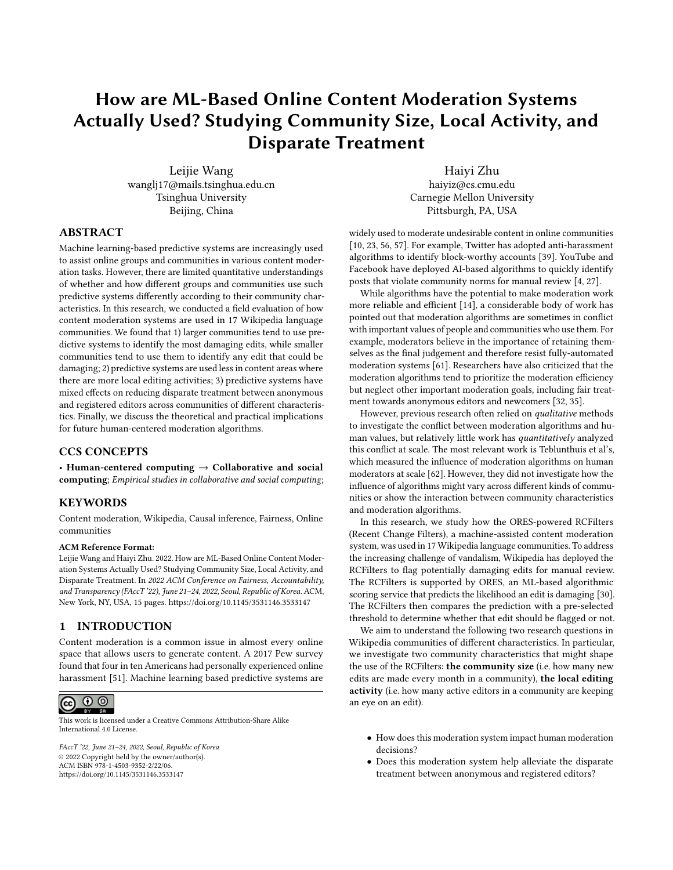- <span id="page-12-17"></span>[50] David S Lee and Thomas Lemieux. 2010. Regression discontinuity designs in economics. Journal of economic literature 48, 2 (2010), 281–355.
- <span id="page-12-0"></span>[51] Maeve Duggan. 2017. Online Harassment 2017. ["https://www.pewresearch.org/]("https://www.pewresearch.org/internet/2017/07/11/online-harassment-2017/") [internet/2017/07/11/online-harassment-2017/".]("https://www.pewresearch.org/internet/2017/07/11/online-harassment-2017/") [Online; accessed 07-Sep-2021].
- <span id="page-12-9"></span>[52] Ariadna Matamoros-Fernández. 2017. Platformed racism: The mediation and circulation of an Australian race-based controversy on Twitter, Facebook and YouTube. Information, Communication & Society 20, 6 (2017), 930–946.
- <span id="page-12-10"></span>[53] Kathleen L Mosier and Linda J Skitka. 2018. Human decision makers and automated decision aids: Made for each other? In Automation and human performance: Theory and applications. CRC Press, 201–220.
- <span id="page-12-18"></span>[54] Richard J Murnane and John B Willett. 2010. Methods matter: Improving causal inference in educational and social science research. Oxford University Press.
- <span id="page-12-19"></span>[55] Wanda J Orlikowski and Debra C Gash. 1994. Technological frames: making sense of information technology in organizations. ACM Transactions on Information Systems (TOIS) 12, 2 (1994), 174–207.
- <span id="page-12-1"></span>[56] John Pavlopoulos, Prodromos Malakasiotis, and Ion Androutsopoulos. 2017. Deep learning for user comment moderation. arXiv preprint arXiv:1705.09993 (2017).
- <span id="page-12-2"></span>[57] Robert Peck. 2019. The Punishing Ecstasy of Being a Reddit Moderator. [https:](https://www.wired.com/ story/the-punishing-ecstasy-of-being-a-reddit-moderator/) [//www.wired.com/story/the-punishing-ecstasy-of-being-a-reddit-moderator/](https://www.wired.com/ story/the-punishing-ecstasy-of-being-a-reddit-moderator/)
- <span id="page-12-5"></span>[58] Sarah T Roberts. 2016. Commercial content moderation: Digital laborers' dirty work. (2016).
- <span id="page-12-13"></span>[59] Joseph Seering, Juan Pablo Flores, Saiph Savage, and Jessica Hammer. 2018. The social roles of bots: evaluating impact of bots on discussions in online communities. Proceedings of the ACM on Human-Computer Interaction 2, CSCW (2018), 1–29.
- <span id="page-12-11"></span>[60] Andrew D Selbst, Danah Boyd, Sorelle A Friedler, Suresh Venkatasubramanian, and Janet Vertesi. 2019. Fairness and Abstraction in Sociotechnical Systems. In Proceedings of the Conference on Fairness, Accountability, and Transparency, Vol. 1. ACM, New York, NY, USA, 59–68.<https://doi.org/10.1145/3287560.3287598>
- <span id="page-12-3"></span>[61] C. Estelle Smith, Bowen Yu, Anjali Srivastava, Aaron Halfaker, Loren Terveen, and Haiyi Zhu. 2020. Keeping Community in the Loop: Understanding Wikipedia Stakeholder Values for Machine Learning-Based Systems. Conference on Human
- Factors in Computing Systems Proceedings (2020), 1–14. [https://doi.org/10.1145/](https://doi.org/10.1145/3313831.3376783) [3313831.3376783](https://doi.org/10.1145/3313831.3376783)
- <span id="page-12-4"></span>[62] Nathan TeBlunthuis, Benjamin Mako Hill, and Aaron Halfaker. 2021. Effects of Algorithmic Flagging on Fairness. Proceedings of the ACM on Human-Computer Interaction 5, CSCW1 (2021), 1–27.<https://doi.org/10.1145/3449130>
- <span id="page-12-6"></span>[63] Tiziana Terranova. 2000. Free labor: Producing culture for the digital economy. Social text 18, 2 (2000), 33–58.
- <span id="page-12-14"></span>[64] Jennifer Thom-Santelli, Dan R Cosley, and Geri Gay. 2009. What's mine is mine: territoriality in collaborative authoring. In Proceedings of the SIGCHI Conference on Human Factors in Computing Systems. 1481–1484.
- <span id="page-12-15"></span>[65] Fernanda B. Viégas, Martin Wattenberg, and Kushal Dave. 2004. Studying cooperation and conflict between authors with history flow visualizations. In Proceedings of the 2004 conference on Human factors in computing systems - CHI '04, Vol. 6. ACM Press, New York, New York, USA, 575–582.<https://doi.org/10.1145/985692.985765>
- <span id="page-12-16"></span>[66] Fernanda B Viégas, Martin Wattenberg, Jesse Kriss, and Frank Van Ham. 2007. Talk before you type: Coordination in Wikipedia. In 2007 40th Annual Hawaii International Conference on System Sciences (HICSS'07). IEEE, 78–78.
- <span id="page-12-7"></span>[67] Ruotong Wang, F Maxwell Harper, and Haiyi Zhu. 2020. Factors influencing perceived fairness in algorithmic decision-making: Algorithm outcomes, development procedures, and individual differences. In Proceedings of the 2020 CHI Conference on Human Factors in Computing Systems. 1–14.
- <span id="page-12-8"></span>[68] James Wexler, Mahima Pushkarna, Tolga Bolukbasi, Martin Wattenberg, Fernanda Viégas, and Jimbo Wilson. 2019. The what-if tool: Interactive probing of machine learning models. IEEE transactions on visualization and computer graphics 26, 1  $(2019), 56-65.$
- <span id="page-12-12"></span>[69] Haiyi Zhu, Bowen Yu, Aaron Halfaker, and Loren Terveen. 2018. Value-Sensitive Algorithm Design. Proceedings of the ACM on Human-Computer Interaction 2, CSCW (nov 2018), 1–23.<https://doi.org/10.1145/3274463>

## A APPENDIX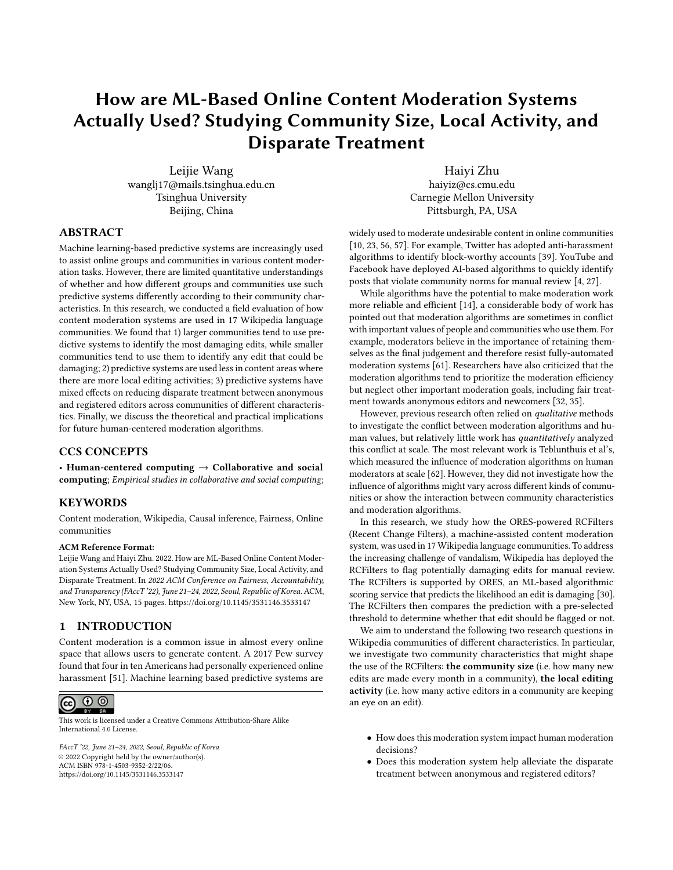|              | Model 4a: Anonymity × Community Size |           |         |                   | Model 4b: Anonymity $\times$ Local Editing Activity |           |         |
|--------------|--------------------------------------|-----------|---------|-------------------|-----------------------------------------------------|-----------|---------|
| Group        | Editor role                          | Est.      | Std.Err | Group             | Editor role                                         | Est.      | Std.Err |
| Small wikis  | Anonymous                            | $-0.02$   | 0.06    | Less active       | Anonymous                                           | $0.06***$ | 0.02    |
|              | Registered                           | 0.02      | 0.14    |                   | Registered                                          | 0.03      | 0.04    |
| Medium wikis | Anonymous                            | 0.04      | 0.02    | Moderately active | Anonymous                                           | $0.03*$   | 0.02    |
|              | Registered                           | $-0.08$   | 0.08    |                   | Registered                                          | 0.06      | 0.04    |
| Large wikis  | Anonymous                            | $0.04***$ | 0.01    | Very active       | Anonymous                                           | 0.02      | 0.02    |
|              | Registered                           | 0.04      | 0.03    |                   | Registered                                          | $-0.02$   | 0.04    |

Table 4: Regression predicting the effects of the "likely have problems" filter on the reverting probability for each editor role and each subgroup, i.e., the coefficient  $\,$  in the regression model (\*p<0.05; \*\*p<0.01; \*\*\*p<0.001)

| Model 4a: Anonymity × Community Size |             |           |         | Model 4b: Anonymity $\times$ Local Editing Activity |             |           |         |
|--------------------------------------|-------------|-----------|---------|-----------------------------------------------------|-------------|-----------|---------|
| Group                                | Editor role | Est.      | Std.Err | Group                                               | Editor role | Est.      | Std.Err |
| Small wikis                          | Anonymous   | 0.08      | 0.08    | Less active                                         | Anonymous   | $0.19***$ | 0.03    |
|                                      | Registered  | 0.13      | 0.36    |                                                     | Registered  | 0.20      | 0.11    |
| Medium wikis                         | Anonymous   | $0.09**$  | 0.03    | Moderately active                                   | Anonymous   | $0.17***$ | 0.03    |
|                                      | Registered  | $-0.45**$ | 0.17    |                                                     | Registered  | $0.39**$  | 0.13    |
| Large wikis                          | Anonymous   | $0.22***$ | 0.02    | Very active                                         | Anonymous   | $0.17***$ | 0.03    |
|                                      | Registered  | $0.27***$ | 0.08    |                                                     | Registered  | $-0.07$   | 0.12    |

Table 5: Regression predicting the effects of the "very likely have problems" filter on the reverting probability for each editor role and each subgroup, i.e., the coefficient  $\gamma$  in the regression model (\*p<0.05; \*\*p<0.01; \*\*\*p<0.001)